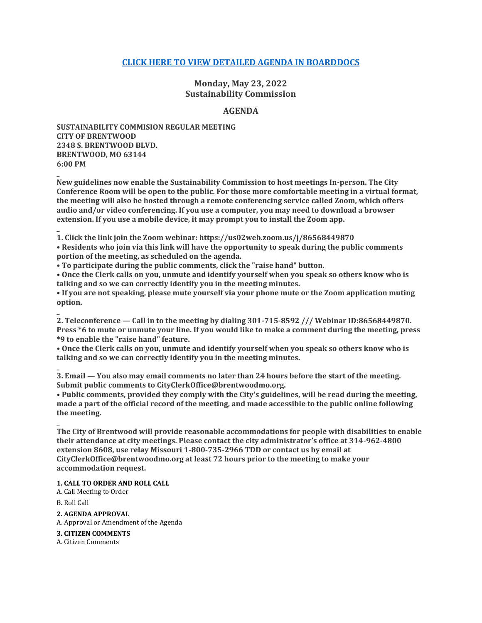# **[CLICK HERE TO VIEW DETAILED AGENDA IN BOARDDOCS](http://go.boarddocs.com/mo/cob/Board.nsf/goto?open&id=CDQ23P7632E8)**

**Monday, May 23, 2022 Sustainability Commission**

## **AGENDA**

**SUSTAINABILITY COMMISION REGULAR MEETING CITY OF BRENTWOOD 2348 S. BRENTWOOD BLVD. BRENTWOOD, MO 63144 6:00 PM**

**New guidelines now enable the Sustainability Commission to host meetings In-person. The City Conference Room will be open to the public. For those more comfortable meeting in a virtual format, the meeting will also be hosted through a remote conferencing service called Zoom, which offers audio and/or video conferencing. If you use a computer, you may need to download a browser extension. If you use a mobile device, it may prompt you to install the Zoom app.**

**\_ 1. Click the link join the Zoom webinar: https://us02web.zoom.us/j/86568449870**

**• Residents who join via this link will have the opportunity to speak during the public comments portion of the meeting, as scheduled on the agenda.**

**• To participate during the public comments, click the "raise hand" button.**

**• Once the Clerk calls on you, unmute and identify yourself when you speak so others know who is talking and so we can correctly identify you in the meeting minutes.**

**• If you are not speaking, please mute yourself via your phone mute or the Zoom application muting option.**

**2. Teleconference — Call in to the meeting by dialing 301-715-8592 /// Webinar ID:86568449870. Press \*6 to mute or unmute your line. If you would like to make a comment during the meeting, press \*9 to enable the "raise hand" feature.**

**• Once the Clerk calls on you, unmute and identify yourself when you speak so others know who is talking and so we can correctly identify you in the meeting minutes.**

**3. Email — You also may email comments no later than 24 hours before the start of the meeting. Submit public comments to CityClerkOffice@brentwoodmo.org.**

**• Public comments, provided they comply with the City's guidelines, will be read during the meeting, made a part of the official record of the meeting, and made accessible to the public online following the meeting.**

**\_ The City of Brentwood will provide reasonable accommodations for people with disabilities to enable their attendance at city meetings. Please contact the city administrator's office at 314-962-4800 extension 8608, use relay Missouri 1-800-735-2966 TDD or contact us by email at CityClerkOffice@brentwoodmo.org at least 72 hours prior to the meeting to make your accommodation request.**

**1. CALL TO ORDER AND ROLL CALL**

A. Call Meeting to Order

B. Roll Call

**\_**

**\_**

**\_**

**2. AGENDA APPROVAL**

A. Approval or Amendment of the Agenda

**3. CITIZEN COMMENTS**

A. Citizen Comments